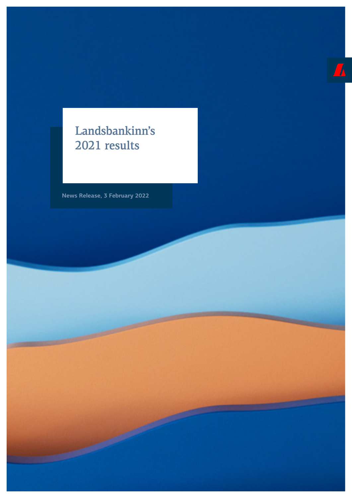## Landsbankinn's 2021 results

**News Release, 3 February 2022**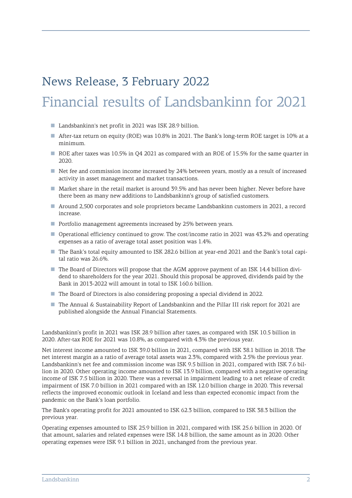# News Release, 3 February 2022 Financial results of Landsbankinn for 2021

- Landsbankinn's net profit in 2021 was ISK 28.9 billion.
- After-tax return on equity (ROE) was 10.8% in 2021. The Bank's long-term ROE target is 10% at a minimum.
- ROE after taxes was 10.5% in Q4 2021 as compared with an ROE of 15.5% for the same quarter in 2020.
- Net fee and commission income increased by 24% between years, mostly as a result of increased activity in asset management and market transactions.
- Market share in the retail market is around 39.5% and has never been higher. Never before have there been as many new additions to Landsbankinn's group of satisfied customers.
- Around 2,500 corporates and sole proprietors became Landsbankinn customers in 2021, a record increase.
- Portfolio management agreements increased by 25% between years.
- Operational efficiency continued to grow. The cost/income ratio in 2021 was 43.2% and operating expenses as a ratio of average total asset position was 1.4%.
- The Bank's total equity amounted to ISK 282.6 billion at year-end 2021 and the Bank's total capital ratio was 26.6%.
- The Board of Directors will propose that the AGM approve payment of an ISK 14.4 billion dividend to shareholders for the year 2021. Should this proposal be approved, dividends paid by the Bank in 2013-2022 will amount in total to ISK 160.6 billion.
- The Board of Directors is also considering proposing a special dividend in 2022.
- The Annual & Sustainability Report of Landsbankinn and the Pillar III risk report for 2021 are published alongside the Annual Financial Statements.

Landsbankinn's profit in 2021 was ISK 28.9 billion after taxes, as compared with ISK 10.5 billion in 2020. After-tax ROE for 2021 was 10.8%, as compared with 4.3% the previous year.

Net interest income amounted to ISK 39.0 billion in 2021, compared with ISK 38.1 billion in 2018. The net interest margin as a ratio of average total assets was 2.3%, compared with 2.5% the previous year. Landsbankinn's net fee and commission income was ISK 9.5 billion in 2021, compared with ISK 7.6 billion in 2020. Other operating income amounted to ISK 13.9 billion, compared with a negative operating income of ISK 7.5 billion in 2020. There was a reversal in impairment leading to a net release of credit impairment of ISK 7.0 billion in 2021 compared with an ISK 12.0 billion charge in 2020. This reversal reflects the improved economic outlook in Iceland and less than expected economic impact from the pandemic on the Bank's loan portfolio.

The Bank's operating profit for 2021 amounted to ISK 62.3 billion, compared to ISK 38.3 billion the previous year.

Operating expenses amounted to ISK 25.9 billion in 2021, compared with ISK 25.6 billion in 2020. Of that amount, salaries and related expenses were ISK 14.8 billion, the same amount as in 2020. Other operating expenses were ISK 9.1 billion in 2021, unchanged from the previous year.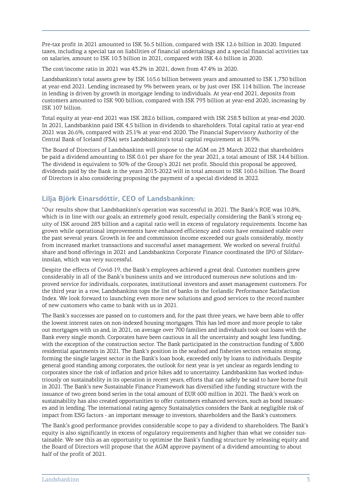Pre-tax profit in 2021 amounted to ISK 36.5 billion, compared with ISK 12.6 billion in 2020. Imputed taxes, including a special tax on liabilities of financial undertakings and a special financial activities tax on salaries, amount to ISK 10.3 billion in 2021, compared with ISK 4.6 billion in 2020.

The cost/income ratio in 2021 was 43.2% in 2021, down from 47.4% in 2020.

Landsbankinn's total assets grew by ISK 165.6 billion between years and amounted to ISK 1,730 billion at year-end 2021. Lending increased by 9% between years, or by just over ISK 114 billion. The increase in lending is driven by growth in mortgage lending to individuals. At year-end 2021, deposits from customers amounted to ISK 900 billion, compared with ISK 793 billion at year-end 2020, increasing by ISK 107 billion.

Total equity at year-end 2021 was ISK 282.6 billion, compared with ISK 258.3 billion at year-end 2020. In 2021, Landsbankinn paid ISK 4.5 billion in dividends to shareholders. Total capital ratio at year-end 2021 was 26.6%, compared with 25.1% at year-end 2020. The Financial Supervisory Authority of the Central Bank of Iceland (FSA) sets Landsbankinn's total capital requirement at 18.9%.

The Board of Directors of Landsbankinn will propose to the AGM on 23 March 2022 that shareholders be paid a dividend amounting to ISK 0.61 per share for the year 2021, a total amount of ISK 14.4 billion. The dividend is equivalent to 50% of the Group's 2021 net profit. Should this proposal be approved, dividends paid by the Bank in the years 2013-2022 will in total amount to ISK 160.6 billion. The Board of Directors is also considering proposing the payment of a special dividend in 2022.

## **Lilja Björk Einarsdóttir, CEO of Landsbankinn:**

"Our results show that Landsbankinn's operation was successful in 2021. The Bank's ROE was 10.8%, which is in line with our goals; an extremely good result, especially considering the Bank's strong equity of ISK around 283 billion and a capital ratio well in excess of regulatory requirements. Income has grown while operational improvements have enhanced efficiency and costs have remained stable over the past several years. Growth in fee and commission income exceeded our goals considerably, mostly from increased market transactions and successful asset management. We worked on several fruitful share and bond offerings in 2021 and Landsbankinn Corporate Finance coordinated the IPO of Síldarvinnslan, which was very successful.

Despite the effects of Covid-19, the Bank's employees achieved a great deal. Customer numbers grew considerably in all of the Bank's business units and we introduced numerous new solutions and improved service for individuals, corporates, institutional investors and asset management customers. For the third year in a row, Landsbankinn tops the list of banks in the Icelandic Performance Satisfaction Index. We look forward to launching even more new solutions and good services to the record number of new customers who came to bank with us in 2021.

The Bank's successes are passed on to customers and, for the past three years, we have been able to offer the lowest interest rates on non-indexed housing mortgages. This has led more and more people to take out mortgages with us and, in 2021, on average over 700 families and individuals took out loans with the Bank every single month. Corporates have been cautious in all the uncertainty and sought less funding, with the exception of the construction sector. The Bank participated in the construction funding of 3,800 residential apartments in 2021. The Bank's position in the seafood and fisheries sectors remains strong, forming the single largest sector in the Bank's loan book, exceeded only by loans to individuals. Despite general good standing among corporates, the outlook for next year is yet unclear as regards lending to corporates since the risk of inflation and price hikes add to uncertainty. Landsbankinn has worked industriously on sustainability in its operation in recent years, efforts that can safely be said to have borne fruit in 2021. The Bank's new Sustainable Finance Framework has diversified ithe funding structure with the issuance of two green bond series in the total amount of EUR 600 million in 2021. The Bank's work on sustainability has also created opportunities to offer customers enhanced services, such as bond issuances and in lending. The international rating agency Sustainalytics considers the Bank at negligible risk of impact from ESG factors - an important message to investors, shareholders and the Bank's customers.

The Bank's good performance provides considerable scope to pay a dividend to shareholders. The Bank's equity is also significantly in excess of regulatory requirements and higher than what we consider sustainable. We see this as an opportunity to optimise the Bank's funding structure by releasing equity and the Board of Directors will propose that the AGM approve payment of a dividend amounting to about half of the profit of 2021.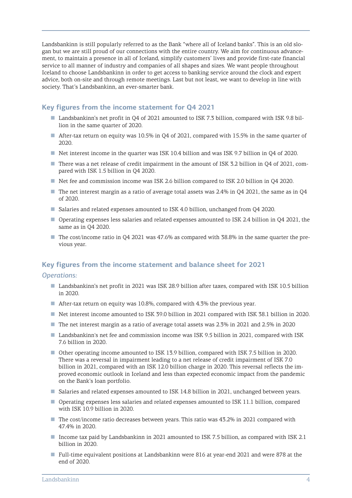Landsbankinn is still popularly referred to as the Bank "where all of Iceland banks". This is an old slogan but we are still proud of our connections with the entire country. We aim for continuous advancement, to maintain a presence in all of Iceland, simplify customers' lives and provide first-rate financial service to all manner of industry and companies of all shapes and sizes. We want people throughout Iceland to choose Landsbankinn in order to get access to banking service around the clock and expert advice, both on-site and through remote meetings. Last but not least, we want to develop in line with society. That's Landsbankinn, an ever-smarter bank.

## **Key figures from the income statement for Q4 2021**

- Landsbankinn's net profit in Q4 of 2021 amounted to ISK 7.3 billion, compared with ISK 9.8 billion in the same quarter of 2020.
- After-tax return on equity was 10.5% in Q4 of 2021, compared with 15.5% in the same quarter of 2020.
- Net interest income in the quarter was ISK 10.4 billion and was ISK 9.7 billion in O4 of 2020.
- There was a net release of credit impairment in the amount of ISK 3.2 billion in Q4 of 2021, compared with ISK 1.5 billion in Q4 2020.
- Net fee and commission income was ISK 2.6 billion compared to ISK 2.0 billion in Q4 2020.
- The net interest margin as a ratio of average total assets was 2.4% in Q4 2021, the same as in Q4 of 2020.
- Salaries and related expenses amounted to ISK 4.0 billion, unchanged from Q4 2020.
- Operating expenses less salaries and related expenses amounted to ISK 2.4 billion in Q4 2021, the same as in Q4 2020.
- The cost/income ratio in O4 2021 was 47.6% as compared with 38.8% in the same quarter the previous year.

#### **Key figures from the income statement and balance sheet for 2021**

#### *Operations:*

- Landsbankinn's net profit in 2021 was ISK 28.9 billion after taxes, compared with ISK 10.5 billion in 2020.
- After-tax return on equity was 10.8%, compared with 4.3% the previous year.
- Net interest income amounted to ISK 39.0 billion in 2021 compared with ISK 38.1 billion in 2020.
- The net interest margin as a ratio of average total assets was 2.3% in 2021 and 2.5% in 2020
- Landsbankinn's net fee and commission income was ISK 9.5 billion in 2021, compared with ISK 7.6 billion in 2020.
- Other operating income amounted to ISK 13.9 billion, compared with ISK 7.5 billion in 2020. There was a reversal in impairment leading to a net release of credit impairment of ISK 7.0 billion in 2021, compared with an ISK 12.0 billion charge in 2020. This reversal reflects the improved economic outlook in Iceland and less than expected economic impact from the pandemic on the Bank's loan portfolio.
- Salaries and related expenses amounted to ISK 14.8 billion in 2021, unchanged between years.
- Operating expenses less salaries and related expenses amounted to ISK 11.1 billion, compared with ISK 10.9 billion in 2020.
- The cost/income ratio decreases between years. This ratio was 43.2% in 2021 compared with 47.4% in 2020.
- Income tax paid by Landsbankinn in 2021 amounted to ISK 7.5 billion, as compared with ISK 2.1 billion in 2020.
- Full-time equivalent positions at Landsbankinn were 816 at year-end 2021 and were 878 at the end of 2020.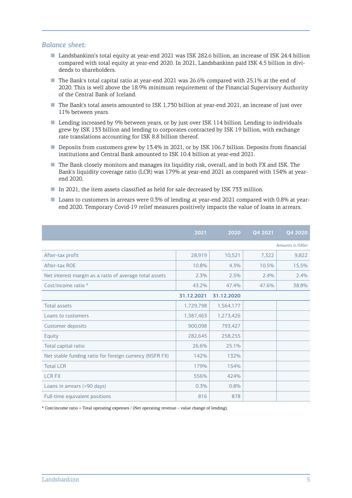#### *Balance sheet:*

- Landsbankinn's total equity at year-end 2021 was ISK 282.6 billion, an increase of ISK 24.4 billion compared with total equity at year-end 2020. In 2021, Landsbankinn paid ISK 4.5 billion in dividends to shareholders.
- The Bank's total capital ratio at year-end 2021 was 26.6% compared with 25.1% at the end of 2020. This is well above the 18.9% minimum requirement of the Financial Supervisory Authority of the Central Bank of Iceland.
- The Bank's total assets amounted to ISK 1,730 billion at year-end 2021, an increase of just over 11% between years.
- Lending increased by 9% between years, or by just over ISK 114 billion. Lending to individuals grew by ISK 133 billion and lending to corporates contracted by ISK 19 billion, with exchange rate translations accounting for ISK 8.8 billion thereof.
- Deposits from customers grew by 13.4% in 2021, or by ISK 106.7 billion. Deposits from financial institutions and Central Bank amounted to ISK 10.4 billion at year-end 2021.
- The Bank closely monitors and manages its liquidity risk, overall, and in both FX and ISK. The Bank's liquidity coverage ratio (LCR) was 179% at year-end 2021 as compared with 154% at yearend 2020.
- In 2021, the item assets classified as held for sale decreased by ISK 733 million.
- Loans to customers in arrears were 0.3% of lending at year-end 2021 compared with 0.8% at yearend 2020. Temporary Covid-19 relief measures positively impacts the value of loans in arrears.

|                                                         | 2021       | 2020       | Q4 2021 | Q4 2020 |
|---------------------------------------------------------|------------|------------|---------|---------|
| Amounts in ISKbn                                        |            |            |         |         |
| After-tax profit                                        | 28,919     | 10,521     | 7,322   | 9,822   |
| After-tax ROE                                           | 10.8%      | 4.3%       | 10.5%   | 15.5%   |
| Net interest margin as a ratio of average total assets  | 2.3%       | 2.5%       | 2.4%    | 2.4%    |
| Cost/income ratio *                                     | 43.2%      | 47.4%      | 47.6%   | 38.8%   |
|                                                         | 31.12.2021 | 31.12.2020 |         |         |
| <b>Total assets</b>                                     | 1,729,798  | 1,564,177  |         |         |
| Loans to customers                                      | 1,387,463  | 1,273,426  |         |         |
| Customer deposits                                       | 900,098    | 793,427    |         |         |
| Equity                                                  | 282,645    | 258,255    |         |         |
| Total capital ratio                                     | 26.6%      | 25.1%      |         |         |
| Net stable funding ratio for foreign currency (NSFR FX) | 142%       | 132%       |         |         |
| <b>Total LCR</b>                                        | 179%       | 154%       |         |         |
| <b>LCR FX</b>                                           | 556%       | 424%       |         |         |
| Loans in arrears (>90 days)                             | 0.3%       | 0.8%       |         |         |
| Full-time equivalent positions                          | 816        | 878        |         |         |

\* Cost/income ratio = Total operating expenses / (Net operating revenue – value change of lending).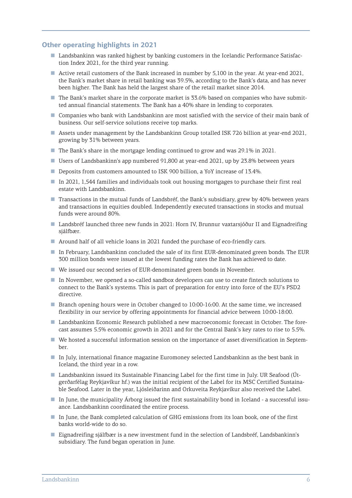## **Other operating highlights in 2021**

- Landsbankinn was ranked highest by banking customers in the Icelandic Performance Satisfaction Index 2021, for the third year running.
- Active retail customers of the Bank increased in number by 5,100 in the year. At year-end 2021, the Bank's market share in retail banking was 39.5%, according to the Bank's data, and has never been higher. The Bank has held the largest share of the retail market since 2014.
- The Bank's market share in the corporate market is 33.6% based on companies who have submitted annual financial statements. The Bank has a 40% share in lending to corporates.
- Companies who bank with Landsbankinn are most satisfied with the service of their main bank of business. Our self-service solutions receive top marks.
- Assets under management by the Landsbankinn Group totalled ISK 726 billion at year-end 2021, growing by 31% between years.
- The Bank's share in the mortgage lending continued to grow and was 29.1% in 2021.
- Users of Landsbankinn's app numbered 91,800 at year-end 2021, up by 23.8% between years
- Deposits from customers amounted to ISK 900 billion, a YoY increase of 13.4%.
- In 2021, 1,544 families and individuals took out housing mortgages to purchase their first real estate with Landsbankinn.
- Transactions in the mutual funds of Landsbréf, the Bank's subsidiary, grew by 40% between years and transactions in equities doubled. Independently executed transactions in stocks and mutual funds were around 80%.
- Landsbréf launched three new funds in 2021: Horn IV, Brunnur vaxtarsjóður II and Eignadreifing sjálfbær.
- Around half of all vehicle loans in 2021 funded the purchase of eco-friendly cars.
- In February, Landsbankinn concluded the sale of its first EUR-denominated green bonds. The EUR 300 million bonds were issued at the lowest funding rates the Bank has achieved to date.
- We issued our second series of EUR-denominated green bonds in November.
- In November, we opened a so-called sandbox developers can use to create fintech solutions to connect to the Bank's systems. This is part of preparation for entry into force of the EU's PSD2 directive.
- Branch opening hours were in October changed to 10:00-16:00. At the same time, we increased flexibility in our service by offering appointments for financial advice between 10:00-18:00.
- Landsbankinn Economic Research published a new macroeconomic forecast in October. The forecast assumes 5.5% economic growth in 2021 and for the Central Bank's key rates to rise to 5.5%.
- We hosted a successful information session on the importance of asset diversification in September.
- In July, international finance magazine Euromoney selected Landsbankinn as the best bank in Iceland, the third year in a row.
- Landsbankinn issued its Sustainable Financing Label for the first time in July. UR Seafood (Útgerðarfélag Reykjavíkur hf.) was the initial recipient of the Label for its MSC Certified Sustainable Seafood. Later in the year, Ljósleiðarinn and Orkuveita Reykjavíkur also received the Label.
- In June, the municipality Árborg issued the first sustainability bond in Iceland a successful issuance. Landsbankinn coordinated the entire process.
- In June, the Bank completed calculation of GHG emissions from its loan book, one of the first banks world-wide to do so.
- Eignadreifing sjálfbær is a new investment fund in the selection of Landsbréf, Landsbankinn's subsidiary. The fund began operation in June.